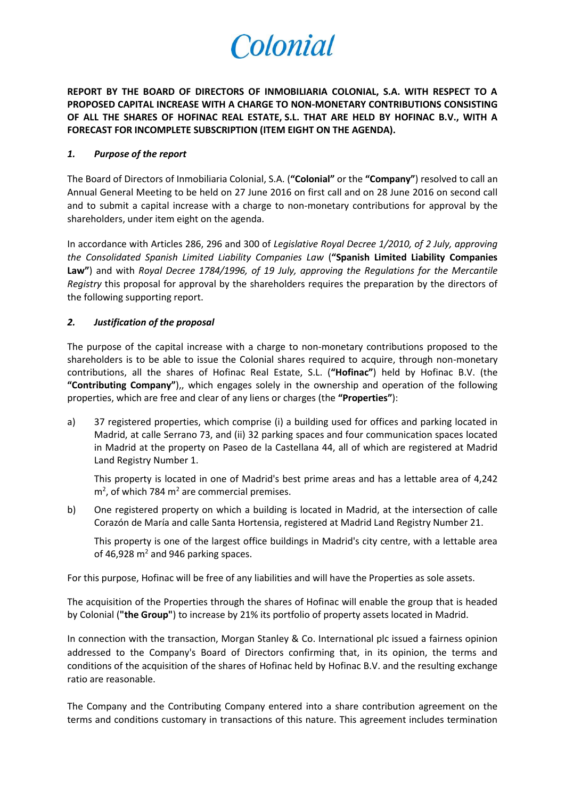# Colonial

**REPORT BY THE BOARD OF DIRECTORS OF INMOBILIARIA COLONIAL, S.A. WITH RESPECT TO A PROPOSED CAPITAL INCREASE WITH A CHARGE TO NON-MONETARY CONTRIBUTIONS CONSISTING OF ALL THE SHARES OF HOFINAC REAL ESTATE, S.L. THAT ARE HELD BY HOFINAC B.V., WITH A FORECAST FOR INCOMPLETE SUBSCRIPTION (ITEM EIGHT ON THE AGENDA).**

### *1. Purpose of the report*

The Board of Directors of Inmobiliaria Colonial, S.A. (**"Colonial"** or the **"Company"**) resolved to call an Annual General Meeting to be held on 27 June 2016 on first call and on 28 June 2016 on second call and to submit a capital increase with a charge to non-monetary contributions for approval by the shareholders, under item eight on the agenda.

In accordance with Articles 286, 296 and 300 of *Legislative Royal Decree 1/2010, of 2 July, approving the Consolidated Spanish Limited Liability Companies Law* (**"Spanish Limited Liability Companies Law"**) and with *Royal Decree 1784/1996, of 19 July, approving the Regulations for the Mercantile Registry* this proposal for approval by the shareholders requires the preparation by the directors of the following supporting report.

## *2. Justification of the proposal*

The purpose of the capital increase with a charge to non-monetary contributions proposed to the shareholders is to be able to issue the Colonial shares required to acquire, through non-monetary contributions, all the shares of Hofinac Real Estate, S.L. (**"Hofinac"**) held by Hofinac B.V. (the **"Contributing Company"**),, which engages solely in the ownership and operation of the following properties, which are free and clear of any liens or charges (the **"Properties"**):

a) 37 registered properties, which comprise (i) a building used for offices and parking located in Madrid, at calle Serrano 73, and (ii) 32 parking spaces and four communication spaces located in Madrid at the property on Paseo de la Castellana 44, all of which are registered at Madrid Land Registry Number 1.

This property is located in one of Madrid's best prime areas and has a lettable area of 4,242  $m<sup>2</sup>$ , of which 784 m<sup>2</sup> are commercial premises.

b) One registered property on which a building is located in Madrid, at the intersection of calle Corazón de María and calle Santa Hortensia, registered at Madrid Land Registry Number 21.

This property is one of the largest office buildings in Madrid's city centre, with a lettable area of 46,928  $m<sup>2</sup>$  and 946 parking spaces.

For this purpose, Hofinac will be free of any liabilities and will have the Properties as sole assets.

The acquisition of the Properties through the shares of Hofinac will enable the group that is headed by Colonial (**"the Group"**) to increase by 21% its portfolio of property assets located in Madrid.

In connection with the transaction, Morgan Stanley & Co. International plc issued a fairness opinion addressed to the Company's Board of Directors confirming that, in its opinion, the terms and conditions of the acquisition of the shares of Hofinac held by Hofinac B.V. and the resulting exchange ratio are reasonable.

The Company and the Contributing Company entered into a share contribution agreement on the terms and conditions customary in transactions of this nature. This agreement includes termination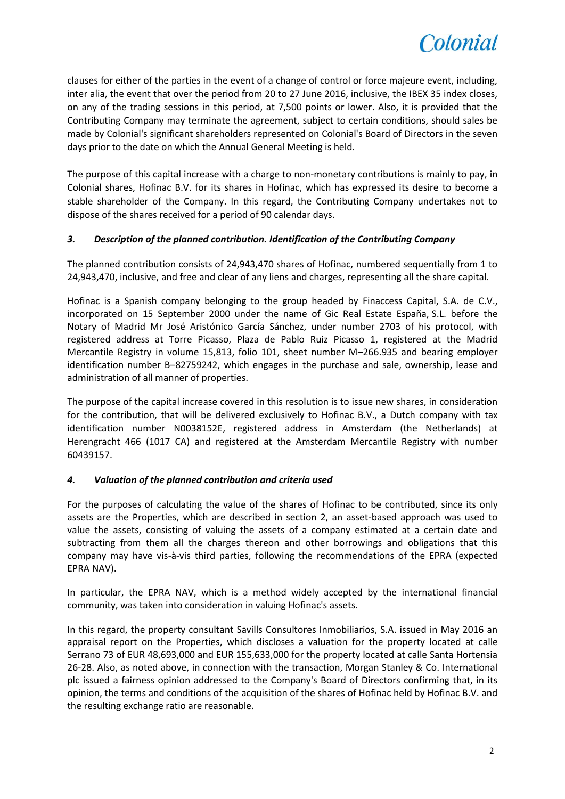

clauses for either of the parties in the event of a change of control or force majeure event, including, inter alia, the event that over the period from 20 to 27 June 2016, inclusive, the IBEX 35 index closes, on any of the trading sessions in this period, at 7,500 points or lower. Also, it is provided that the Contributing Company may terminate the agreement, subject to certain conditions, should sales be made by Colonial's significant shareholders represented on Colonial's Board of Directors in the seven days prior to the date on which the Annual General Meeting is held.

The purpose of this capital increase with a charge to non-monetary contributions is mainly to pay, in Colonial shares, Hofinac B.V. for its shares in Hofinac, which has expressed its desire to become a stable shareholder of the Company. In this regard, the Contributing Company undertakes not to dispose of the shares received for a period of 90 calendar days.

## *3. Description of the planned contribution. Identification of the Contributing Company*

The planned contribution consists of 24,943,470 shares of Hofinac, numbered sequentially from 1 to 24,943,470, inclusive, and free and clear of any liens and charges, representing all the share capital.

Hofinac is a Spanish company belonging to the group headed by Finaccess Capital, S.A. de C.V., incorporated on 15 September 2000 under the name of Gic Real Estate España, S.L. before the Notary of Madrid Mr José Aristónico García Sánchez, under number 2703 of his protocol, with registered address at Torre Picasso, Plaza de Pablo Ruiz Picasso 1, registered at the Madrid Mercantile Registry in volume 15,813, folio 101, sheet number M–266.935 and bearing employer identification number B–82759242, which engages in the purchase and sale, ownership, lease and administration of all manner of properties.

The purpose of the capital increase covered in this resolution is to issue new shares, in consideration for the contribution, that will be delivered exclusively to Hofinac B.V., a Dutch company with tax identification number N0038152E, registered address in Amsterdam (the Netherlands) at Herengracht 466 (1017 CA) and registered at the Amsterdam Mercantile Registry with number 60439157.

## *4. Valuation of the planned contribution and criteria used*

For the purposes of calculating the value of the shares of Hofinac to be contributed, since its only assets are the Properties, which are described in section 2, an asset-based approach was used to value the assets, consisting of valuing the assets of a company estimated at a certain date and subtracting from them all the charges thereon and other borrowings and obligations that this company may have vis-à-vis third parties, following the recommendations of the EPRA (expected EPRA NAV).

In particular, the EPRA NAV, which is a method widely accepted by the international financial community, was taken into consideration in valuing Hofinac's assets.

In this regard, the property consultant Savills Consultores Inmobiliarios, S.A. issued in May 2016 an appraisal report on the Properties, which discloses a valuation for the property located at calle Serrano 73 of EUR 48,693,000 and EUR 155,633,000 for the property located at calle Santa Hortensia 26-28. Also, as noted above, in connection with the transaction, Morgan Stanley & Co. International plc issued a fairness opinion addressed to the Company's Board of Directors confirming that, in its opinion, the terms and conditions of the acquisition of the shares of Hofinac held by Hofinac B.V. and the resulting exchange ratio are reasonable.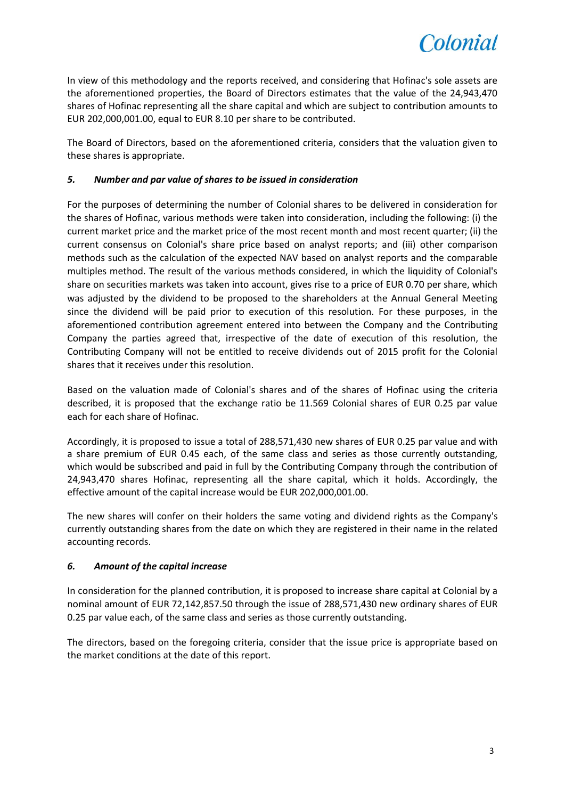

In view of this methodology and the reports received, and considering that Hofinac's sole assets are the aforementioned properties, the Board of Directors estimates that the value of the 24,943,470 shares of Hofinac representing all the share capital and which are subject to contribution amounts to EUR 202,000,001.00, equal to EUR 8.10 per share to be contributed.

The Board of Directors, based on the aforementioned criteria, considers that the valuation given to these shares is appropriate.

### *5. Number and par value of shares to be issued in consideration*

For the purposes of determining the number of Colonial shares to be delivered in consideration for the shares of Hofinac, various methods were taken into consideration, including the following: (i) the current market price and the market price of the most recent month and most recent quarter; (ii) the current consensus on Colonial's share price based on analyst reports; and (iii) other comparison methods such as the calculation of the expected NAV based on analyst reports and the comparable multiples method. The result of the various methods considered, in which the liquidity of Colonial's share on securities markets was taken into account, gives rise to a price of EUR 0.70 per share, which was adjusted by the dividend to be proposed to the shareholders at the Annual General Meeting since the dividend will be paid prior to execution of this resolution. For these purposes, in the aforementioned contribution agreement entered into between the Company and the Contributing Company the parties agreed that, irrespective of the date of execution of this resolution, the Contributing Company will not be entitled to receive dividends out of 2015 profit for the Colonial shares that it receives under this resolution.

Based on the valuation made of Colonial's shares and of the shares of Hofinac using the criteria described, it is proposed that the exchange ratio be 11.569 Colonial shares of EUR 0.25 par value each for each share of Hofinac.

Accordingly, it is proposed to issue a total of 288,571,430 new shares of EUR 0.25 par value and with a share premium of EUR 0.45 each, of the same class and series as those currently outstanding, which would be subscribed and paid in full by the Contributing Company through the contribution of 24,943,470 shares Hofinac, representing all the share capital, which it holds. Accordingly, the effective amount of the capital increase would be EUR 202,000,001.00.

The new shares will confer on their holders the same voting and dividend rights as the Company's currently outstanding shares from the date on which they are registered in their name in the related accounting records.

## *6. Amount of the capital increase*

In consideration for the planned contribution, it is proposed to increase share capital at Colonial by a nominal amount of EUR 72,142,857.50 through the issue of 288,571,430 new ordinary shares of EUR 0.25 par value each, of the same class and series as those currently outstanding.

The directors, based on the foregoing criteria, consider that the issue price is appropriate based on the market conditions at the date of this report.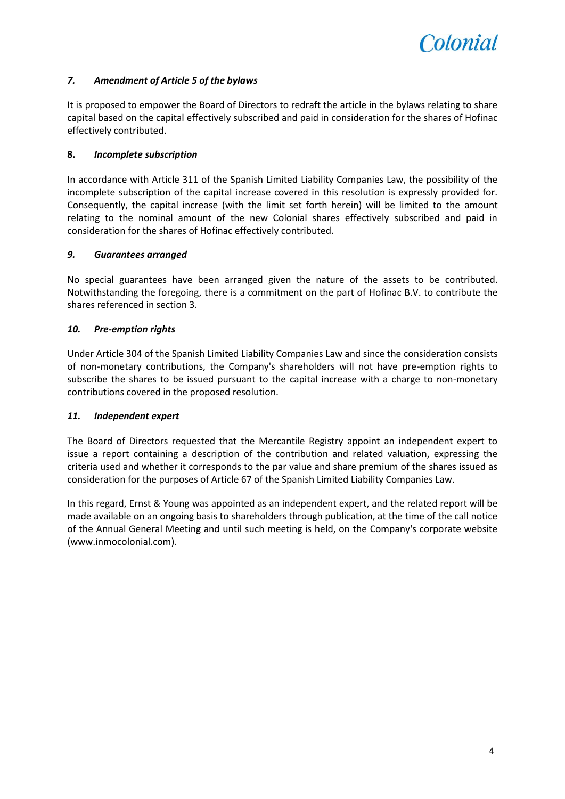

## *7. Amendment of Article 5 of the bylaws*

It is proposed to empower the Board of Directors to redraft the article in the bylaws relating to share capital based on the capital effectively subscribed and paid in consideration for the shares of Hofinac effectively contributed.

#### **8.** *Incomplete subscription*

In accordance with Article 311 of the Spanish Limited Liability Companies Law, the possibility of the incomplete subscription of the capital increase covered in this resolution is expressly provided for. Consequently, the capital increase (with the limit set forth herein) will be limited to the amount relating to the nominal amount of the new Colonial shares effectively subscribed and paid in consideration for the shares of Hofinac effectively contributed.

#### *9. Guarantees arranged*

No special guarantees have been arranged given the nature of the assets to be contributed. Notwithstanding the foregoing, there is a commitment on the part of Hofinac B.V. to contribute the shares referenced in section 3.

#### *10. Pre-emption rights*

Under Article 304 of the Spanish Limited Liability Companies Law and since the consideration consists of non-monetary contributions, the Company's shareholders will not have pre-emption rights to subscribe the shares to be issued pursuant to the capital increase with a charge to non-monetary contributions covered in the proposed resolution.

#### *11. Independent expert*

The Board of Directors requested that the Mercantile Registry appoint an independent expert to issue a report containing a description of the contribution and related valuation, expressing the criteria used and whether it corresponds to the par value and share premium of the shares issued as consideration for the purposes of Article 67 of the Spanish Limited Liability Companies Law.

In this regard, Ernst & Young was appointed as an independent expert, and the related report will be made available on an ongoing basis to shareholders through publication, at the time of the call notice of the Annual General Meeting and until such meeting is held, on the Company's corporate website [\(www.inmocolonial.com\)](http://www.inmocolonial.com/).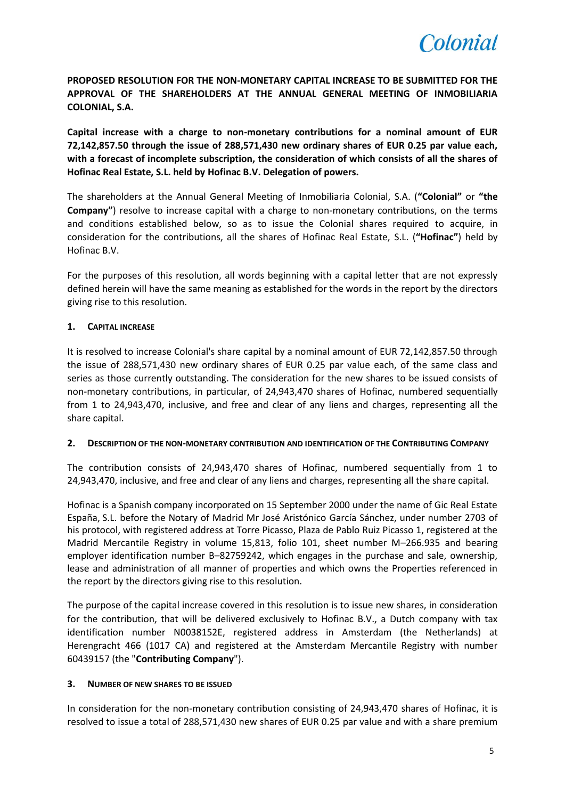

**PROPOSED RESOLUTION FOR THE NON-MONETARY CAPITAL INCREASE TO BE SUBMITTED FOR THE APPROVAL OF THE SHAREHOLDERS AT THE ANNUAL GENERAL MEETING OF INMOBILIARIA COLONIAL, S.A.**

**Capital increase with a charge to non-monetary contributions for a nominal amount of EUR 72,142,857.50 through the issue of 288,571,430 new ordinary shares of EUR 0.25 par value each, with a forecast of incomplete subscription, the consideration of which consists of all the shares of Hofinac Real Estate, S.L. held by Hofinac B.V. Delegation of powers.**

The shareholders at the Annual General Meeting of Inmobiliaria Colonial, S.A. (**"Colonial"** or **"the Company"**) resolve to increase capital with a charge to non-monetary contributions, on the terms and conditions established below, so as to issue the Colonial shares required to acquire, in consideration for the contributions, all the shares of Hofinac Real Estate, S.L. (**"Hofinac"**) held by Hofinac B.V.

For the purposes of this resolution, all words beginning with a capital letter that are not expressly defined herein will have the same meaning as established for the words in the report by the directors giving rise to this resolution.

#### **1. CAPITAL INCREASE**

It is resolved to increase Colonial's share capital by a nominal amount of EUR 72,142,857.50 through the issue of 288,571,430 new ordinary shares of EUR 0.25 par value each, of the same class and series as those currently outstanding. The consideration for the new shares to be issued consists of non-monetary contributions, in particular, of 24,943,470 shares of Hofinac, numbered sequentially from 1 to 24,943,470, inclusive, and free and clear of any liens and charges, representing all the share capital.

#### **2. DESCRIPTION OF THE NON-MONETARY CONTRIBUTION AND IDENTIFICATION OF THE CONTRIBUTING COMPANY**

The contribution consists of 24,943,470 shares of Hofinac, numbered sequentially from 1 to 24,943,470, inclusive, and free and clear of any liens and charges, representing all the share capital.

Hofinac is a Spanish company incorporated on 15 September 2000 under the name of Gic Real Estate España, S.L. before the Notary of Madrid Mr José Aristónico García Sánchez, under number 2703 of his protocol, with registered address at Torre Picasso, Plaza de Pablo Ruiz Picasso 1, registered at the Madrid Mercantile Registry in volume 15,813, folio 101, sheet number M–266.935 and bearing employer identification number B–82759242, which engages in the purchase and sale, ownership, lease and administration of all manner of properties and which owns the Properties referenced in the report by the directors giving rise to this resolution.

The purpose of the capital increase covered in this resolution is to issue new shares, in consideration for the contribution, that will be delivered exclusively to Hofinac B.V., a Dutch company with tax identification number N0038152E, registered address in Amsterdam (the Netherlands) at Herengracht 466 (1017 CA) and registered at the Amsterdam Mercantile Registry with number 60439157 (the "**Contributing Company**").

#### **3. NUMBER OF NEW SHARES TO BE ISSUED**

In consideration for the non-monetary contribution consisting of 24,943,470 shares of Hofinac, it is resolved to issue a total of 288,571,430 new shares of EUR 0.25 par value and with a share premium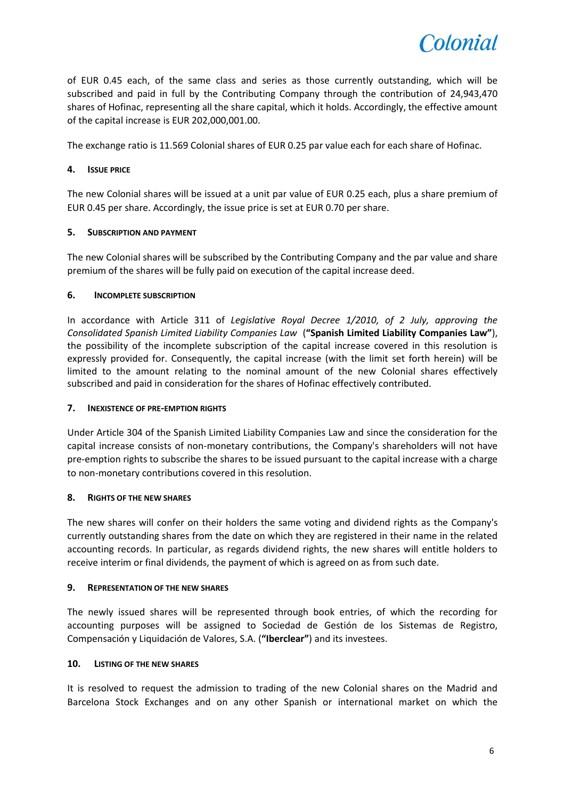

of EUR 0.45 each, of the same class and series as those currently outstanding, which will be subscribed and paid in full by the Contributing Company through the contribution of 24,943,470 shares of Hofinac, representing all the share capital, which it holds. Accordingly, the effective amount of the capital increase is EUR 202,000,001.00.

The exchange ratio is 11.569 Colonial shares of EUR 0.25 par value each for each share of Hofinac.

## **4. ISSUE PRICE**

The new Colonial shares will be issued at a unit par value of EUR 0.25 each, plus a share premium of EUR 0.45 per share. Accordingly, the issue price is set at EUR 0.70 per share.

## **5. SUBSCRIPTION AND PAYMENT**

The new Colonial shares will be subscribed by the Contributing Company and the par value and share premium of the shares will be fully paid on execution of the capital increase deed.

## **6. INCOMPLETE SUBSCRIPTION**

In accordance with Article 311 of *Legislative Royal Decree 1/2010, of 2 July, approving the Consolidated Spanish Limited Liability Companies Law* (**"Spanish Limited Liability Companies Law"**), the possibility of the incomplete subscription of the capital increase covered in this resolution is expressly provided for. Consequently, the capital increase (with the limit set forth herein) will be limited to the amount relating to the nominal amount of the new Colonial shares effectively subscribed and paid in consideration for the shares of Hofinac effectively contributed.

#### **7. INEXISTENCE OF PRE-EMPTION RIGHTS**

Under Article 304 of the Spanish Limited Liability Companies Law and since the consideration for the capital increase consists of non-monetary contributions, the Company's shareholders will not have pre-emption rights to subscribe the shares to be issued pursuant to the capital increase with a charge to non-monetary contributions covered in this resolution.

## **8. RIGHTS OF THE NEW SHARES**

The new shares will confer on their holders the same voting and dividend rights as the Company's currently outstanding shares from the date on which they are registered in their name in the related accounting records. In particular, as regards dividend rights, the new shares will entitle holders to receive interim or final dividends, the payment of which is agreed on as from such date.

#### **9. REPRESENTATION OF THE NEW SHARES**

The newly issued shares will be represented through book entries, of which the recording for accounting purposes will be assigned to Sociedad de Gestión de los Sistemas de Registro, Compensación y Liquidación de Valores, S.A. (**"Iberclear"**) and its investees.

#### **10. LISTING OF THE NEW SHARES**

It is resolved to request the admission to trading of the new Colonial shares on the Madrid and Barcelona Stock Exchanges and on any other Spanish or international market on which the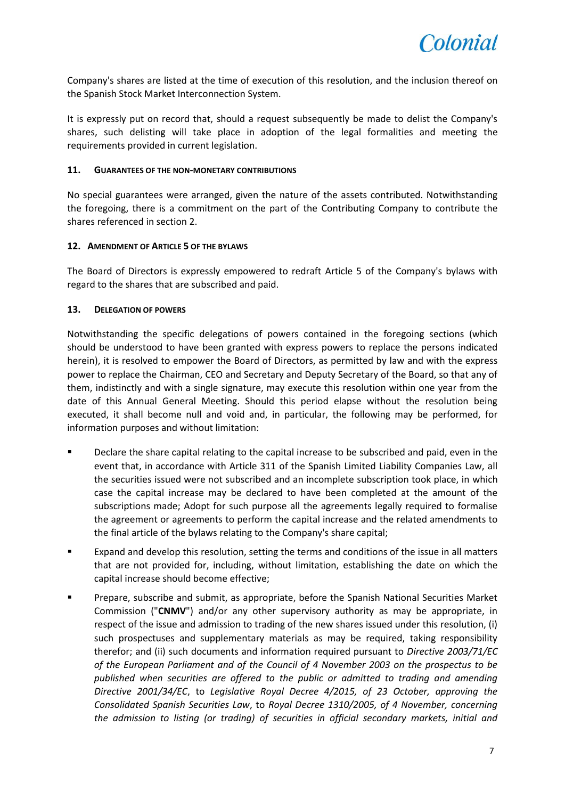Company's shares are listed at the time of execution of this resolution, and the inclusion thereof on the Spanish Stock Market Interconnection System.

It is expressly put on record that, should a request subsequently be made to delist the Company's shares, such delisting will take place in adoption of the legal formalities and meeting the requirements provided in current legislation.

#### **11. GUARANTEES OF THE NON-MONETARY CONTRIBUTIONS**

No special guarantees were arranged, given the nature of the assets contributed. Notwithstanding the foregoing, there is a commitment on the part of the Contributing Company to contribute the shares referenced in section 2.

#### **12. AMENDMENT OF ARTICLE 5 OF THE BYLAWS**

The Board of Directors is expressly empowered to redraft Article 5 of the Company's bylaws with regard to the shares that are subscribed and paid.

#### **13. DELEGATION OF POWERS**

Notwithstanding the specific delegations of powers contained in the foregoing sections (which should be understood to have been granted with express powers to replace the persons indicated herein), it is resolved to empower the Board of Directors, as permitted by law and with the express power to replace the Chairman, CEO and Secretary and Deputy Secretary of the Board, so that any of them, indistinctly and with a single signature, may execute this resolution within one year from the date of this Annual General Meeting. Should this period elapse without the resolution being executed, it shall become null and void and, in particular, the following may be performed, for information purposes and without limitation:

- Declare the share capital relating to the capital increase to be subscribed and paid, even in the event that, in accordance with Article 311 of the Spanish Limited Liability Companies Law, all the securities issued were not subscribed and an incomplete subscription took place, in which case the capital increase may be declared to have been completed at the amount of the subscriptions made; Adopt for such purpose all the agreements legally required to formalise the agreement or agreements to perform the capital increase and the related amendments to the final article of the bylaws relating to the Company's share capital;
- Expand and develop this resolution, setting the terms and conditions of the issue in all matters that are not provided for, including, without limitation, establishing the date on which the capital increase should become effective;
- **Prepare, subscribe and submit, as appropriate, before the Spanish National Securities Market** Commission ("**CNMV**") and/or any other supervisory authority as may be appropriate, in respect of the issue and admission to trading of the new shares issued under this resolution, (i) such prospectuses and supplementary materials as may be required, taking responsibility therefor; and (ii) such documents and information required pursuant to *Directive 2003/71/EC of the European Parliament and of the Council of 4 November 2003 on the prospectus to be published when securities are offered to the public or admitted to trading and amending Directive 2001/34/EC*, to *Legislative Royal Decree 4/2015, of 23 October, approving the Consolidated Spanish Securities Law*, to *Royal Decree 1310/2005, of 4 November, concerning the admission to listing (or trading) of securities in official secondary markets, initial and*